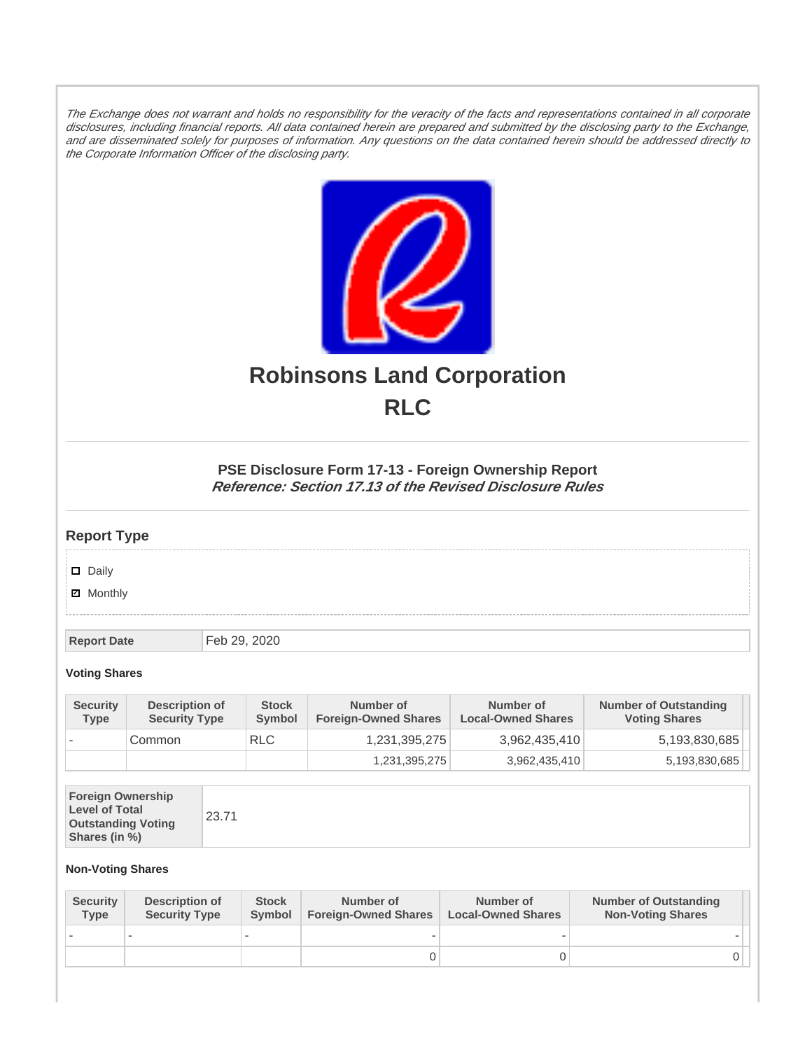The Exchange does not warrant and holds no responsibility for the veracity of the facts and representations contained in all corporate disclosures, including financial reports. All data contained herein are prepared and submitted by the disclosing party to the Exchange, and are disseminated solely for purposes of information. Any questions on the data contained herein should be addressed directly to the Corporate Information Officer of the disclosing party.



# **Robinsons Land Corporation RLC**

## **PSE Disclosure Form 17-13 - Foreign Ownership Report Reference: Section 17.13 of the Revised Disclosure Rules**

## **Report Type**

Daily

**Ø** Monthly

**Report Date** Feb 29, 2020

#### **Voting Shares**

| <b>Security</b><br><b>Type</b> | <b>Description of</b><br><b>Security Type</b> | <b>Stock</b><br>Symbol | Number of<br><b>Foreign-Owned Shares</b> | Number of<br><b>Local-Owned Shares</b> | <b>Number of Outstanding</b><br><b>Voting Shares</b> |
|--------------------------------|-----------------------------------------------|------------------------|------------------------------------------|----------------------------------------|------------------------------------------------------|
|                                | Common                                        | <b>RLC</b>             | 1,231,395,275                            | 3,962,435,410                          | 5,193,830,685                                        |
|                                |                                               |                        | 1,231,395,275                            | 3,962,435,410                          | 5,193,830,685                                        |

| <b>Foreign Ownership</b><br><b>Level of Total</b><br><b>Outstanding Voting</b><br>Shares (in %) |
|-------------------------------------------------------------------------------------------------|
|-------------------------------------------------------------------------------------------------|

### **Non-Voting Shares**

| <b>Security</b><br><b>Type</b> | Description of<br><b>Security Type</b> | <b>Stock</b><br>Symbol | Number of<br><b>Foreign-Owned Shares</b> | Number of<br><b>Local-Owned Shares</b> | <b>Number of Outstanding</b><br><b>Non-Voting Shares</b> |
|--------------------------------|----------------------------------------|------------------------|------------------------------------------|----------------------------------------|----------------------------------------------------------|
|                                |                                        |                        |                                          |                                        |                                                          |
|                                |                                        |                        |                                          |                                        | JІ                                                       |